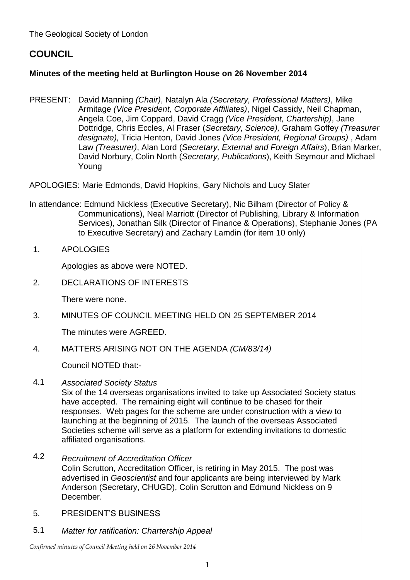The Geological Society of London

# **COUNCIL**

## **Minutes of the meeting held at Burlington House on 26 November 2014**

PRESENT: David Manning *(Chair)*, Natalyn Ala *(Secretary, Professional Matters)*, Mike Armitage *(Vice President, Corporate Affiliates)*, Nigel Cassidy, Neil Chapman, Angela Coe, Jim Coppard, David Cragg *(Vice President, Chartership)*, Jane Dottridge, Chris Eccles, Al Fraser (*Secretary, Science),* Graham Goffey *(Treasurer designate),* Tricia Henton, David Jones *(Vice President, Regional Groups)* , Adam Law *(Treasurer)*, Alan Lord (*Secretary, External and Foreign Affairs*), Brian Marker, David Norbury, Colin North (*Secretary, Publications*), Keith Seymour and Michael Young

APOLOGIES: Marie Edmonds, David Hopkins, Gary Nichols and Lucy Slater

- In attendance: Edmund Nickless (Executive Secretary), Nic Bilham (Director of Policy & Communications), Neal Marriott (Director of Publishing, Library & Information Services), Jonathan Silk (Director of Finance & Operations), Stephanie Jones (PA to Executive Secretary) and Zachary Lamdin (for item 10 only)
- 1. APOLOGIES

Apologies as above were NOTED.

2. DECLARATIONS OF INTERESTS

There were none.

3. MINUTES OF COUNCIL MEETING HELD ON 25 SEPTEMBER 2014

The minutes were AGREED.

4. MATTERS ARISING NOT ON THE AGENDA *(CM/83/14)*

Council NOTED that:-

4.1 *Associated Society Status*

Six of the 14 overseas organisations invited to take up Associated Society status have accepted. The remaining eight will continue to be chased for their responses. Web pages for the scheme are under construction with a view to launching at the beginning of 2015. The launch of the overseas Associated Societies scheme will serve as a platform for extending invitations to domestic affiliated organisations.

- 4.2 *Recruitment of Accreditation Officer* Colin Scrutton, Accreditation Officer, is retiring in May 2015. The post was advertised in *Geoscientist* and four applicants are being interviewed by Mark Anderson (Secretary, CHUGD), Colin Scrutton and Edmund Nickless on 9 December.
- 5. PRESIDENT'S BUSINESS
- 5.1 *Matter for ratification: Chartership Appeal*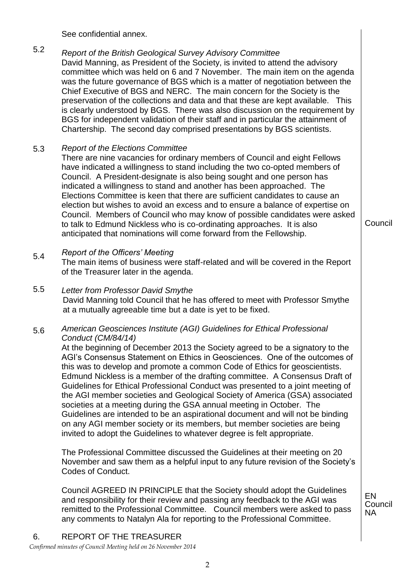See confidential annex.

#### 5.2 *Report of the British Geological Survey Advisory Committee* David Manning, as President of the Society, is invited to attend the advisory committee which was held on 6 and 7 November. The main item on the agenda was the future governance of BGS which is a matter of negotiation between the Chief Executive of BGS and NERC. The main concern for the Society is the preservation of the collections and data and that these are kept available. This is clearly understood by BGS. There was also discussion on the requirement by BGS for independent validation of their staff and in particular the attainment of Chartership. The second day comprised presentations by BGS scientists.

#### 5.3 *Report of the Elections Committee*

There are nine vacancies for ordinary members of Council and eight Fellows have indicated a willingness to stand including the two co-opted members of Council. A President-designate is also being sought and one person has indicated a willingness to stand and another has been approached. The Elections Committee is keen that there are sufficient candidates to cause an election but wishes to avoid an excess and to ensure a balance of expertise on Council. Members of Council who may know of possible candidates were asked to talk to Edmund Nickless who is co-ordinating approaches. It is also anticipated that nominations will come forward from the Fellowship.

#### 5.4 *Report of the Officers' Meeting*

The main items of business were staff-related and will be covered in the Report of the Treasurer later in the agenda.

#### 5.5 *Letter from Professor David Smythe* David Manning told Council that he has offered to meet with Professor Smythe at a mutually agreeable time but a date is yet to be fixed.

#### 5.6 *American Geosciences Institute (AGI) Guidelines for Ethical Professional Conduct (CM/84/14)*

At the beginning of December 2013 the Society agreed to be a signatory to the AGI's Consensus Statement on Ethics in Geosciences. One of the outcomes of this was to develop and promote a common Code of Ethics for geoscientists. Edmund Nickless is a member of the drafting committee. A Consensus Draft of Guidelines for Ethical Professional Conduct was presented to a joint meeting of the AGI member societies and Geological Society of America (GSA) associated societies at a meeting during the GSA annual meeting in October. The Guidelines are intended to be an aspirational document and will not be binding on any AGI member society or its members, but member societies are being invited to adopt the Guidelines to whatever degree is felt appropriate.

The Professional Committee discussed the Guidelines at their meeting on 20 November and saw them as a helpful input to any future revision of the Society's Codes of Conduct.

Council AGREED IN PRINCIPLE that the Society should adopt the Guidelines and responsibility for their review and passing any feedback to the AGI was remitted to the Professional Committee. Council members were asked to pass any comments to Natalyn Ala for reporting to the Professional Committee.

EN Council NA

Council

# 6. REPORT OF THE TREASURER

*Confirmed minutes of Council Meeting held on 26 November 2014*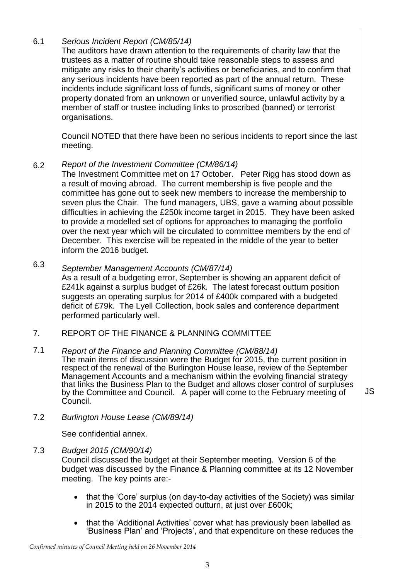#### 6.1 *Serious Incident Report (CM/85/14)*

The auditors have drawn attention to the requirements of charity law that the trustees as a matter of routine should take reasonable steps to assess and mitigate any risks to their charity's activities or beneficiaries, and to confirm that any serious incidents have been reported as part of the annual return. These incidents include significant loss of funds, significant sums of money or other property donated from an unknown or unverified source, unlawful activity by a member of staff or trustee including links to proscribed (banned) or terrorist organisations.

Council NOTED that there have been no serious incidents to report since the last meeting.

#### 6.2 *Report of the Investment Committee (CM/86/14)*

The Investment Committee met on 17 October. Peter Rigg has stood down as a result of moving abroad. The current membership is five people and the committee has gone out to seek new members to increase the membership to seven plus the Chair. The fund managers, UBS, gave a warning about possible difficulties in achieving the £250k income target in 2015. They have been asked to provide a modelled set of options for approaches to managing the portfolio over the next year which will be circulated to committee members by the end of December. This exercise will be repeated in the middle of the year to better inform the 2016 budget.

#### 6.3 *September Management Accounts (CM/87/14)*

As a result of a budgeting error, September is showing an apparent deficit of £241k against a surplus budget of £26k. The latest forecast outturn position suggests an operating surplus for 2014 of £400k compared with a budgeted deficit of £79k. The Lyell Collection, book sales and conference department performed particularly well.

#### 7. REPORT OF THE FINANCE & PLANNING COMMITTEE

#### 7.1 *Report of the Finance and Planning Committee (CM/88/14)*

The main items of discussion were the Budget for 2015, the current position in respect of the renewal of the Burlington House lease, review of the September Management Accounts and a mechanism within the evolving financial strategy that links the Business Plan to the Budget and allows closer control of surpluses by the Committee and Council. A paper will come to the February meeting of Council.

7.2 *Burlington House Lease (CM/89/14)*

See confidential annex.

### 7.3 *Budget 2015 (CM/90/14)*

Council discussed the budget at their September meeting. Version 6 of the budget was discussed by the Finance & Planning committee at its 12 November meeting. The key points are:-

- that the 'Core' surplus (on day-to-day activities of the Society) was similar in 2015 to the 2014 expected outturn, at just over £600k;
- that the 'Additional Activities' cover what has previously been labelled as 'Business Plan' and 'Projects', and that expenditure on these reduces the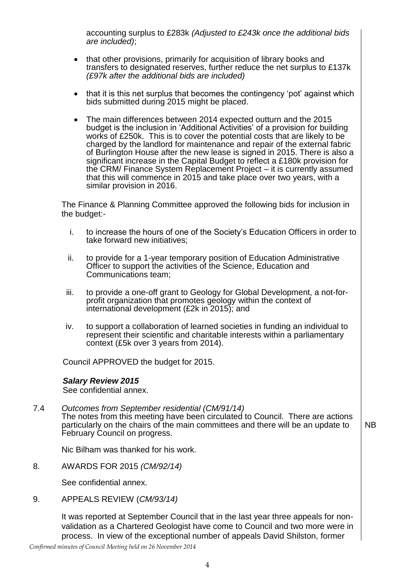accounting surplus to £283k *(Adjusted to £243k once the additional bids are included)*;

- that other provisions, primarily for acquisition of library books and transfers to designated reserves, further reduce the net surplus to £137k *(£97k after the additional bids are included)*
- that it is this net surplus that becomes the contingency 'pot' against which bids submitted during 2015 might be placed.
- The main differences between 2014 expected outturn and the 2015 budget is the inclusion in 'Additional Activities' of a provision for building works of £250k. This is to cover the potential costs that are likely to be charged by the landlord for maintenance and repair of the external fabric of Burlington House after the new lease is signed in 2015. There is also a significant increase in the Capital Budget to reflect a £180k provision for the CRM/ Finance System Replacement Project – it is currently assumed that this will commence in 2015 and take place over two years, with a similar provision in 2016.

The Finance & Planning Committee approved the following bids for inclusion in the budget:-

- i. to increase the hours of one of the Society's Education Officers in order to take forward new initiatives;
- ii. to provide for a 1-year temporary position of Education Administrative Officer to support the activities of the Science, Education and Communications team;
- iii. to provide a one-off grant to Geology for Global Development, a not-forprofit organization that promotes geology within the context of international development (£2k in 2015); and
- iv. to support a collaboration of learned societies in funding an individual to represent their scientific and charitable interests within a parliamentary context (£5k over 3 years from 2014).

Council APPROVED the budget for 2015.

#### *Salary Review 2015*

See confidential annex.

7.4 *Outcomes from September residential (CM/91/14)* The notes from this meeting have been circulated to Council. There are actions particularly on the chairs of the main committees and there will be an update to February Council on progress. NB

Nic Bilham was thanked for his work.

8. AWARDS FOR 2015 *(CM/92/14)*

See confidential annex.

9. APPEALS REVIEW (*CM/93/14)*

It was reported at September Council that in the last year three appeals for nonvalidation as a Chartered Geologist have come to Council and two more were in process. In view of the exceptional number of appeals David Shilston, former

*Confirmed minutes of Council Meeting held on 26 November 2014*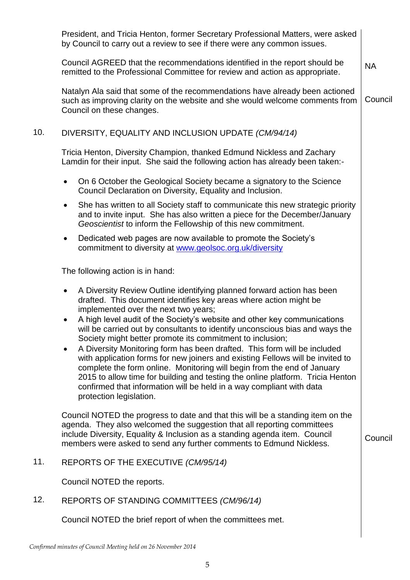|     | President, and Tricia Henton, former Secretary Professional Matters, were asked<br>by Council to carry out a review to see if there were any common issues.                                                                                                                                                                                                                                                                                                                                                                                                                                                                                                                                                                                                                                                                                                          |           |
|-----|----------------------------------------------------------------------------------------------------------------------------------------------------------------------------------------------------------------------------------------------------------------------------------------------------------------------------------------------------------------------------------------------------------------------------------------------------------------------------------------------------------------------------------------------------------------------------------------------------------------------------------------------------------------------------------------------------------------------------------------------------------------------------------------------------------------------------------------------------------------------|-----------|
|     | Council AGREED that the recommendations identified in the report should be<br>remitted to the Professional Committee for review and action as appropriate.                                                                                                                                                                                                                                                                                                                                                                                                                                                                                                                                                                                                                                                                                                           | <b>NA</b> |
|     | Natalyn Ala said that some of the recommendations have already been actioned<br>such as improving clarity on the website and she would welcome comments from<br>Council on these changes.                                                                                                                                                                                                                                                                                                                                                                                                                                                                                                                                                                                                                                                                            | Council   |
| 10. | DIVERSITY, EQUALITY AND INCLUSION UPDATE (CM/94/14)                                                                                                                                                                                                                                                                                                                                                                                                                                                                                                                                                                                                                                                                                                                                                                                                                  |           |
|     | Tricia Henton, Diversity Champion, thanked Edmund Nickless and Zachary<br>Lamdin for their input. She said the following action has already been taken:-                                                                                                                                                                                                                                                                                                                                                                                                                                                                                                                                                                                                                                                                                                             |           |
|     | On 6 October the Geological Society became a signatory to the Science<br>$\bullet$<br>Council Declaration on Diversity, Equality and Inclusion.                                                                                                                                                                                                                                                                                                                                                                                                                                                                                                                                                                                                                                                                                                                      |           |
|     | She has written to all Society staff to communicate this new strategic priority<br>$\bullet$<br>and to invite input. She has also written a piece for the December/January<br>Geoscientist to inform the Fellowship of this new commitment.                                                                                                                                                                                                                                                                                                                                                                                                                                                                                                                                                                                                                          |           |
|     | Dedicated web pages are now available to promote the Society's<br>$\bullet$<br>commitment to diversity at www.geolsoc.org.uk/diversity                                                                                                                                                                                                                                                                                                                                                                                                                                                                                                                                                                                                                                                                                                                               |           |
|     | The following action is in hand:                                                                                                                                                                                                                                                                                                                                                                                                                                                                                                                                                                                                                                                                                                                                                                                                                                     |           |
|     | A Diversity Review Outline identifying planned forward action has been<br>$\bullet$<br>drafted. This document identifies key areas where action might be<br>implemented over the next two years;<br>A high level audit of the Society's website and other key communications<br>$\bullet$<br>will be carried out by consultants to identify unconscious bias and ways the<br>Society might better promote its commitment to inclusion;<br>A Diversity Monitoring form has been drafted. This form will be included<br>with application forms for new joiners and existing Fellows will be invited to<br>complete the form online. Monitoring will begin from the end of January<br>2015 to allow time for building and testing the online platform. Tricia Henton<br>confirmed that information will be held in a way compliant with data<br>protection legislation. |           |
|     | Council NOTED the progress to date and that this will be a standing item on the<br>agenda. They also welcomed the suggestion that all reporting committees<br>include Diversity, Equality & Inclusion as a standing agenda item. Council<br>members were asked to send any further comments to Edmund Nickless.                                                                                                                                                                                                                                                                                                                                                                                                                                                                                                                                                      | Council   |
| 11. | REPORTS OF THE EXECUTIVE (CM/95/14)                                                                                                                                                                                                                                                                                                                                                                                                                                                                                                                                                                                                                                                                                                                                                                                                                                  |           |
|     | Council NOTED the reports.                                                                                                                                                                                                                                                                                                                                                                                                                                                                                                                                                                                                                                                                                                                                                                                                                                           |           |
| 12. | REPORTS OF STANDING COMMITTEES (CM/96/14)                                                                                                                                                                                                                                                                                                                                                                                                                                                                                                                                                                                                                                                                                                                                                                                                                            |           |
|     | Council NOTED the brief report of when the committees met.                                                                                                                                                                                                                                                                                                                                                                                                                                                                                                                                                                                                                                                                                                                                                                                                           |           |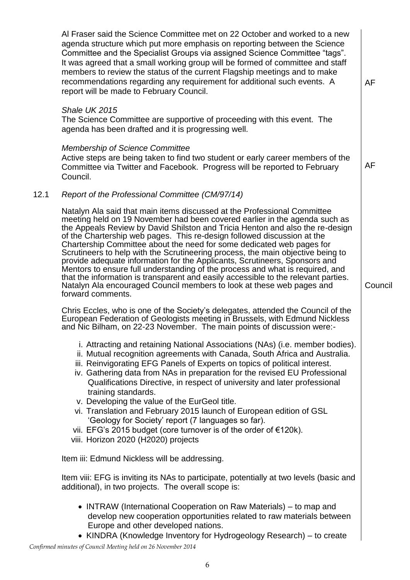Al Fraser said the Science Committee met on 22 October and worked to a new agenda structure which put more emphasis on reporting between the Science Committee and the Specialist Groups via assigned Science Committee "tags". It was agreed that a small working group will be formed of committee and staff members to review the status of the current Flagship meetings and to make recommendations regarding any requirement for additional such events. A report will be made to February Council.

AF

AF

Council

### *Shale UK 2015*

The Science Committee are supportive of proceeding with this event. The agenda has been drafted and it is progressing well.

### *Membership of Science Committee*

Active steps are being taken to find two student or early career members of the Committee via Twitter and Facebook. Progress will be reported to February Council.

### 12.1 *Report of the Professional Committee (CM/97/14)*

Natalyn Ala said that main items discussed at the Professional Committee meeting held on 19 November had been covered earlier in the agenda such as the Appeals Review by David Shilston and Tricia Henton and also the re-design of the Chartership web pages. This re-design followed discussion at the Chartership Committee about the need for some dedicated web pages for Scrutineers to help with the Scrutineering process, the main objective being to provide adequate information for the Applicants, Scrutineers, Sponsors and Mentors to ensure full understanding of the process and what is required, and that the information is transparent and easily accessible to the relevant parties. Natalyn Ala encouraged Council members to look at these web pages and forward comments.

Chris Eccles, who is one of the Society's delegates, attended the Council of the European Federation of Geologists meeting in Brussels, with Edmund Nickless and Nic Bilham, on 22-23 November. The main points of discussion were:-

- i. Attracting and retaining National Associations (NAs) (i.e. member bodies).
- ii. Mutual recognition agreements with Canada, South Africa and Australia.
- iii. Reinvigorating EFG Panels of Experts on topics of political interest.
- iv. Gathering data from NAs in preparation for the revised EU Professional Qualifications Directive, in respect of university and later professional training standards.
- v. Developing the value of the EurGeol title.
- vi. Translation and February 2015 launch of European edition of GSL 'Geology for Society' report (7 languages so far).
- vii. EFG's 2015 budget (core turnover is of the order of €120k).
- viii. Horizon 2020 (H2020) projects

Item iii: Edmund Nickless will be addressing.

Item viii: EFG is inviting its NAs to participate, potentially at two levels (basic and additional), in two projects. The overall scope is:

- INTRAW (International Cooperation on Raw Materials) to map and develop new cooperation opportunities related to raw materials between Europe and other developed nations.
- KINDRA (Knowledge Inventory for Hydrogeology Research) to create

*Confirmed minutes of Council Meeting held on 26 November 2014*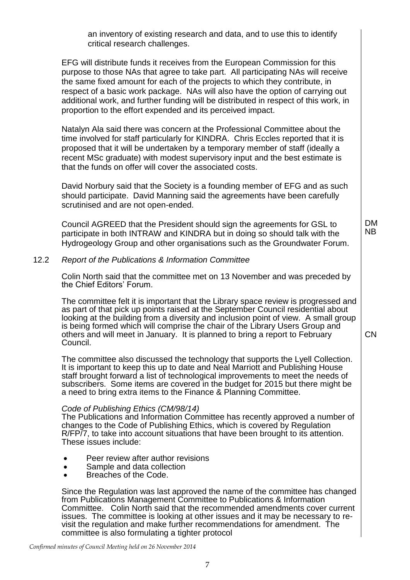an inventory of existing research and data, and to use this to identify critical research challenges.

EFG will distribute funds it receives from the European Commission for this purpose to those NAs that agree to take part. All participating NAs will receive the same fixed amount for each of the projects to which they contribute, in respect of a basic work package. NAs will also have the option of carrying out additional work, and further funding will be distributed in respect of this work, in proportion to the effort expended and its perceived impact.

Natalyn Ala said there was concern at the Professional Committee about the time involved for staff particularly for KINDRA. Chris Eccles reported that it is proposed that it will be undertaken by a temporary member of staff (ideally a recent MSc graduate) with modest supervisory input and the best estimate is that the funds on offer will cover the associated costs.

David Norbury said that the Society is a founding member of EFG and as such should participate. David Manning said the agreements have been carefully scrutinised and are not open-ended.

Council AGREED that the President should sign the agreements for GSL to participate in both INTRAW and KINDRA but in doing so should talk with the Hydrogeology Group and other organisations such as the Groundwater Forum. DM NB

CN

### 12.2 *Report of the Publications & Information Committee*

Colin North said that the committee met on 13 November and was preceded by the Chief Editors' Forum.

The committee felt it is important that the Library space review is progressed and as part of that pick up points raised at the September Council residential about looking at the building from a diversity and inclusion point of view. A small group is being formed which will comprise the chair of the Library Users Group and others and will meet in January. It is planned to bring a report to February Council.

The committee also discussed the technology that supports the Lyell Collection. It is important to keep this up to date and Neal Marriott and Publishing House staff brought forward a list of technological improvements to meet the needs of subscribers. Some items are covered in the budget for 2015 but there might be a need to bring extra items to the Finance & Planning Committee.

#### *Code of Publishing Ethics (CM/98/14)*

The Publications and Information Committee has recently approved a number of changes to the Code of Publishing Ethics, which is covered by Requlation R/FP/7, to take into account situations that have been brought to its attention. These issues include:

- Peer review after author revisions
- Sample and data collection
- Breaches of the Code.

Since the Regulation was last approved the name of the committee has changed from Publications Management Committee to Publications & Information Committee. Colin North said that the recommended amendments cover current issues. The committee is looking at other issues and it may be necessary to revisit the regulation and make further recommendations for amendment. The committee is also formulating a tighter protocol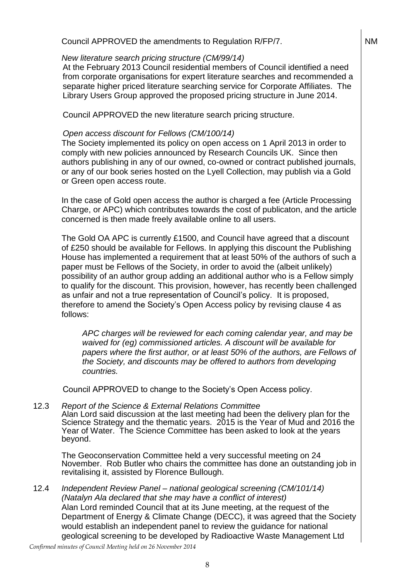### Council APPROVED the amendments to Regulation R/FP/7.

#### *New literature search pricing structure (CM/99/14)*

At the February 2013 Council residential members of Council identified a need from corporate organisations for expert literature searches and recommended a separate higher priced literature searching service for Corporate Affiliates. The Library Users Group approved the proposed pricing structure in June 2014.

Council APPROVED the new literature search pricing structure.

### *Open access discount for Fellows (CM/100/14)*

The Society implemented its policy on open access on 1 April 2013 in order to comply with new policies announced by Research Councils UK. Since then authors publishing in any of our owned, co-owned or contract published journals, or any of our book series hosted on the Lyell Collection, may publish via a Gold or Green open access route.

In the case of Gold open access the author is charged a fee (Article Processing Charge, or APC) which contributes towards the cost of publicaton, and the article concerned is then made freely available online to all users.

The Gold OA APC is currently £1500, and Council have agreed that a discount of £250 should be available for Fellows. In applying this discount the Publishing House has implemented a requirement that at least 50% of the authors of such a paper must be Fellows of the Society, in order to avoid the (albeit unlikely) possibility of an author group adding an additional author who is a Fellow simply to qualify for the discount. This provision, however, has recently been challenged as unfair and not a true representation of Council's policy. It is proposed, therefore to amend the Society's Open Access policy by revising clause 4 as follows:

*APC charges will be reviewed for each coming calendar year, and may be waived for (eg) commissioned articles. A discount will be available for papers where the first author, or at least 50% of the authors, are Fellows of the Society, and discounts may be offered to authors from developing countries.*

Council APPROVED to change to the Society's Open Access policy.

12.3 *Report of the Science & External Relations Committee* Alan Lord said discussion at the last meeting had been the delivery plan for the

Science Strategy and the thematic years. 2015 is the Year of Mud and 2016 the Year of Water. The Science Committee has been asked to look at the years beyond.

The Geoconservation Committee held a very successful meeting on 24 November. Rob Butler who chairs the committee has done an outstanding job in revitalising it, assisted by Florence Bullough.

12.4 *Independent Review Panel – national geological screening (CM/101/14) (Natalyn Ala declared that she may have a conflict of interest)* Alan Lord reminded Council that at its June meeting, at the request of the Department of Energy & Climate Change (DECC), it was agreed that the Society would establish an independent panel to review the guidance for national geological screening to be developed by Radioactive Waste Management Ltd

NM